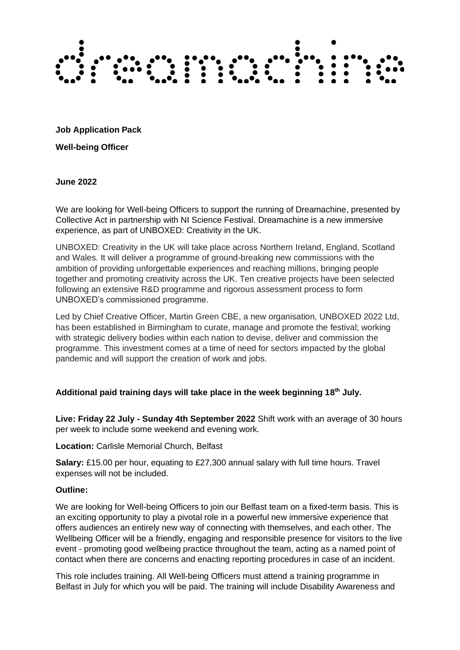

**Job Application Pack Well-being Officer**

**June 2022**

We are looking for Well-being Officers to support the running of Dreamachine, presented by Collective Act in partnership with NI Science Festival. Dreamachine is a new immersive experience, as part of UNBOXED: Creativity in the UK.

UNBOXED: Creativity in the UK will take place across Northern Ireland, England, Scotland and Wales. It will deliver a programme of ground-breaking new commissions with the ambition of providing unforgettable experiences and reaching millions, bringing people together and promoting creativity across the UK. Ten creative projects have been selected following an extensive R&D programme and rigorous assessment process to form UNBOXED's commissioned programme.

Led by Chief Creative Officer, Martin Green CBE, a new organisation, UNBOXED 2022 Ltd, has been established in Birmingham to curate, manage and promote the festival; working with strategic delivery bodies within each nation to devise, deliver and commission the programme. This investment comes at a time of need for sectors impacted by the global pandemic and will support the creation of work and jobs.

#### **Additional paid training days will take place in the week beginning 18 th July.**

**Live: Friday 22 July - Sunday 4th September 2022** Shift work with an average of 30 hours per week to include some weekend and evening work.

### **Location:** Carlisle Memorial Church, Belfast

**Salary:** £15.00 per hour, equating to £27,300 annual salary with full time hours. Travel expenses will not be included.

#### **Outline:**

We are looking for Well-being Officers to join our Belfast team on a fixed-term basis. This is an exciting opportunity to play a pivotal role in a powerful new immersive experience that offers audiences an entirely new way of connecting with themselves, and each other. The Wellbeing Officer will be a friendly, engaging and responsible presence for visitors to the live event - promoting good wellbeing practice throughout the team, acting as a named point of contact when there are concerns and enacting reporting procedures in case of an incident.

This role includes training. All Well-being Officers must attend a training programme in Belfast in July for which you will be paid. The training will include Disability Awareness and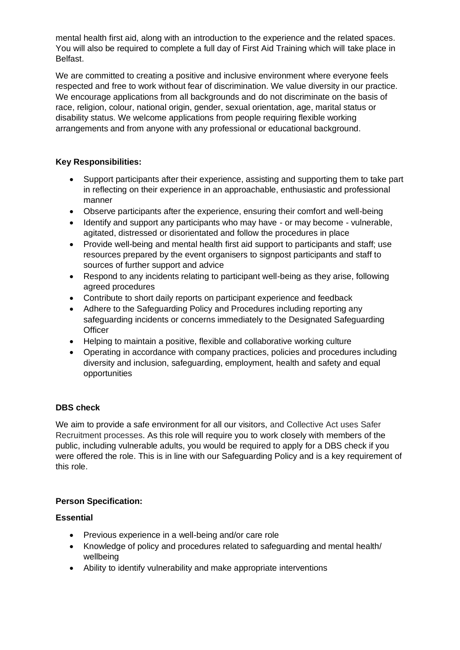mental health first aid, along with an introduction to the experience and the related spaces. You will also be required to complete a full day of First Aid Training which will take place in Belfast.

We are committed to creating a positive and inclusive environment where everyone feels respected and free to work without fear of discrimination. We value diversity in our practice. We encourage applications from all backgrounds and do not discriminate on the basis of race, religion, colour, national origin, gender, sexual orientation, age, marital status or disability status. We welcome applications from people requiring flexible working arrangements and from anyone with any professional or educational background.

## **Key Responsibilities:**

- Support participants after their experience, assisting and supporting them to take part in reflecting on their experience in an approachable, enthusiastic and professional manner
- Observe participants after the experience, ensuring their comfort and well-being
- Identify and support any participants who may have or may become vulnerable, agitated, distressed or disorientated and follow the procedures in place
- Provide well-being and mental health first aid support to participants and staff; use resources prepared by the event organisers to signpost participants and staff to sources of further support and advice
- Respond to any incidents relating to participant well-being as they arise, following agreed procedures
- Contribute to short daily reports on participant experience and feedback
- Adhere to the Safeguarding Policy and Procedures including reporting any safeguarding incidents or concerns immediately to the Designated Safeguarding **Officer**
- Helping to maintain a positive, flexible and collaborative working culture
- Operating in accordance with company practices, policies and procedures including diversity and inclusion, safeguarding, employment, health and safety and equal opportunities

# **DBS check**

We aim to provide a safe environment for all our visitors, and Collective Act uses Safer Recruitment processes. As this role will require you to work closely with members of the public, including vulnerable adults, you would be required to apply for a DBS check if you were offered the role. This is in line with our Safeguarding Policy and is a key requirement of this role.

# **Person Specification:**

#### **Essential**

- Previous experience in a well-being and/or care role
- Knowledge of policy and procedures related to safeguarding and mental health/ wellbeing
- Ability to identify vulnerability and make appropriate interventions